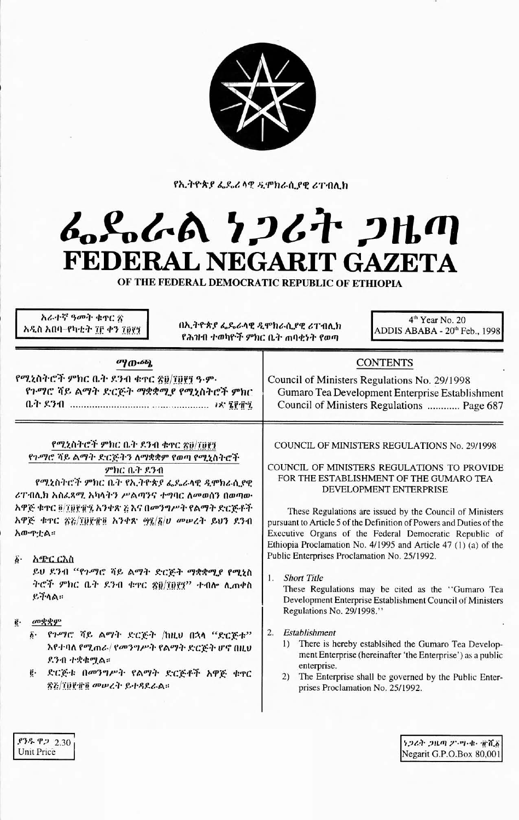

የኢትዮጵያ ፌዴሪ ላዊ ዲሞክራሲያዊ ሪፐብሊክ

## んぺんめ ケンムヤ フルの FEDERAL NEGARIT GAZETA

OF THE FEDERAL DEMOCRATIC REPUBLIC OF ETHIOPIA

አራተኛ ዓመት ቁዋር ጽ አዲስ አበባ–የካቲት ፲፫ ቀን ፲፱፻፺

በኢትዮጵያ ፌዴራላዊ ዲሞክራሲያዊ ሪፐብሊክ የሕዝብ ተወካዮች ምክር ቤት ጠባቂነት የወጣ

4<sup>th</sup> Year No. 20 ADDIS ABABA - 20<sup>th</sup> Feb., 1998

| ማውጫ                                                                                                                                                                                                                                                                                                                                                                                                                      | CONTENTS                                                                                                                                                                                                                                                                                                                                                                                                                                                                                                                                                                                                                                                                                        |
|--------------------------------------------------------------------------------------------------------------------------------------------------------------------------------------------------------------------------------------------------------------------------------------------------------------------------------------------------------------------------------------------------------------------------|-------------------------------------------------------------------------------------------------------------------------------------------------------------------------------------------------------------------------------------------------------------------------------------------------------------------------------------------------------------------------------------------------------------------------------------------------------------------------------------------------------------------------------------------------------------------------------------------------------------------------------------------------------------------------------------------------|
| የሚኒስትሮች ምክር ቤት ደንብ ቁተር ፳፱/፲፱፻፺ ዓ·ም·<br>የጉማሮ ሻይ ልማት ድርጅት ማቋቋሚያ የሚኒስትሮች ምክር                                                                                                                                                                                                                                                                                                                                                | Council of Ministers Regulations No. 29/1998<br>Gumaro Tea Development Enterprise Establishment<br>Council of Ministers Regulations  Page 687                                                                                                                                                                                                                                                                                                                                                                                                                                                                                                                                                   |
| የሚኒስትሮች ምክር ቤት ደንብ ቁተር ጽ፱/፲፱፻፺<br>የጉማሮ ሻይ ልማት ድርጅትን ለማቋቋም የወጣ የሚኒስትሮች<br>ምክር ቤት ደንብ<br>የሚኒስትሮች ምክር ቤት የኢትዮጵያ ፌዴራላዊ ዲሞክራሲያዊ<br>ሪፐብሊክ አስሬጻሚ አካላትን ሥልጣንና ተግባር ለመወሰን በወጣው<br>አዋጅ ቁተር ፬/፲፱፻፹፯ አንቀጽ ¿ እና በመንግሥት የልማት ድርጅቶች<br>አዋጅ ቁዋር ጽፈ/፲፱፻፹፬ አንቀጽ ፵፯/፩/ሀ መሠረት ይህን ደንብ<br>አውዋቷል።<br>$\vec{b}$ .<br>አምር ርእስ<br>ይህ ደንብ "የጉማሮ ሻይ ልማት ድርጅት ማቋቋሚያ የሚኒስ<br>ትሮች ምክር ቤት ደንብ ቁዋር ፳፬/፲፬፻፶'' ተብሎ ሊጠቀስ<br>$R$ in $\wedge$<br>ġ.<br>முழ்ழு | COUNCIL OF MINISTERS REGULATIONS No. 29/1998<br>COUNCIL OF MINISTERS REGULATIONS TO PROVIDE<br>FOR THE ESTABLISHMENT OF THE GUMARO TEA<br>DEVELOPMENT ENTERPRISE<br>These Regulations are issued by the Council of Ministers<br>pursuant to Article 5 of the Definition of Powers and Duties of the<br>Executive Organs of the Federal Democratic Republic of<br>Ethiopia Proclamation No. 4/1995 and Article 47 (1) (a) of the<br>Public Enterprises Proclamation No. 25/1992.<br><b>Short Title</b><br>1.<br>These Regulations may be cited as the "Gumaro Tea<br>Development Enterprise Establishment Council of Ministers<br>Regulations No. 29/1998."<br>Establishment<br>$\overline{2}$ . |
| ፩· የጉማሮ ሻይ ልማት ድርጅት /ከዚህ በኋላ "ድርጅቱ"<br>እየተባለ የሚጠራ/ የመንግሥት የልማት ድርጅት ሆኖ በዚህ<br>ደንብ ተቋቁሟል።<br>ድርጅቱ በመንግሥት የልማት ድርጅቶች አዋጅ ቁኖር<br>ĝ.<br>ጽሯ/፲፱፻፹፬ መሥረት ይተዳደራል።                                                                                                                                                                                                                                                                | $\left( \right)$<br>There is hereby establsihed the Gumaro Tea Develop-<br>ment Enterprise (hereinafter 'the Enterprise') as a public<br>enterprise.<br>The Enterprise shall be governed by the Public Enter-<br>2)<br>prises Proclamation No. 25/1992.                                                                                                                                                                                                                                                                                                                                                                                                                                         |

**ያንዱ ዋ**ጋ 2.30 Unit Price

うつるき つルの 25.四・車・電光者 Negarit G.P.O.Box 80,001